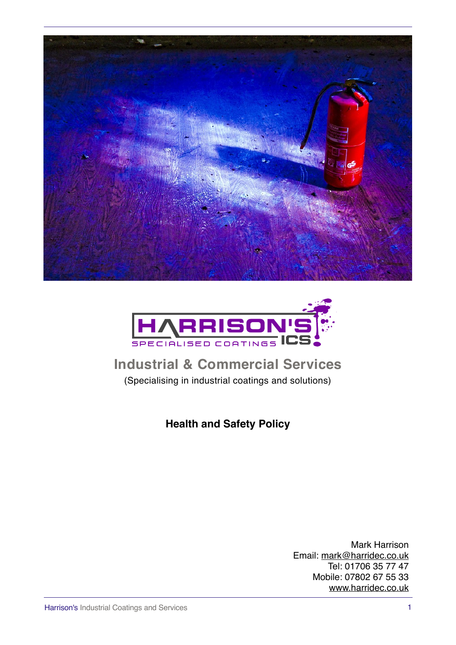



## **Industrial & Commercial Services** (Specialising in industrial coatings and solutions)

**Health and Safety Policy**

Mark Harrison Email: [mark@harridec.co.uk](mailto:mark@harridec.co.uk) Tel: 01706 35 77 47 Mobile: 07802 67 55 33 [www.harridec.co.uk](http://www.harridec.co.uk)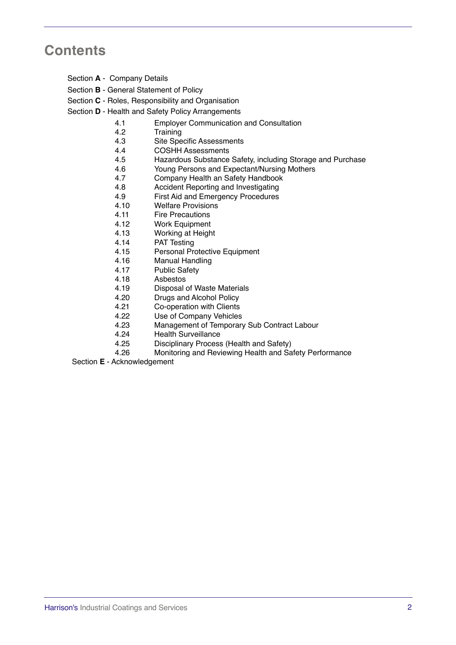## **Contents**

- Section **A** Company Details
- Section **B** General Statement of Policy
- Section **C** Roles, Responsibility and Organisation
- Section **D** Health and Safety Policy Arrangements
	- 4.1 Employer Communication and Consultation
	- 4.2 Training
	- 4.3 Site Specific Assessments
	- 4.4 COSHH Assessments
	- 4.5 Hazardous Substance Safety, including Storage and Purchase
	- 4.6 Young Persons and Expectant/Nursing Mothers
	- 4.7 Company Health an Safety Handbook
	- 4.8 Accident Reporting and Investigating
	- 4.9 First Aid and Emergency Procedures
	- 4.10 Welfare Provisions
	- 4.11 Fire Precautions
	- 4.12 Work Equipment
	- 4.13 Working at Height
	- 4.14 PAT Testing
	- 4.15 Personal Protective Equipment
	- 4.16 Manual Handling
	- 4.17 Public Safety
	- 4.18 Asbestos
	- 4.19 Disposal of Waste Materials
	- 4.20 Drugs and Alcohol Policy
	- 4.21 Co-operation with Clients
	- 4.22 Use of Company Vehicles
	- 4.23 Management of Temporary Sub Contract Labour
	- 4.24 Health Surveillance
	- 4.25 Disciplinary Process (Health and Safety)
	- 4.26 Monitoring and Reviewing Health and Safety Performance

Section **E** - Acknowledgement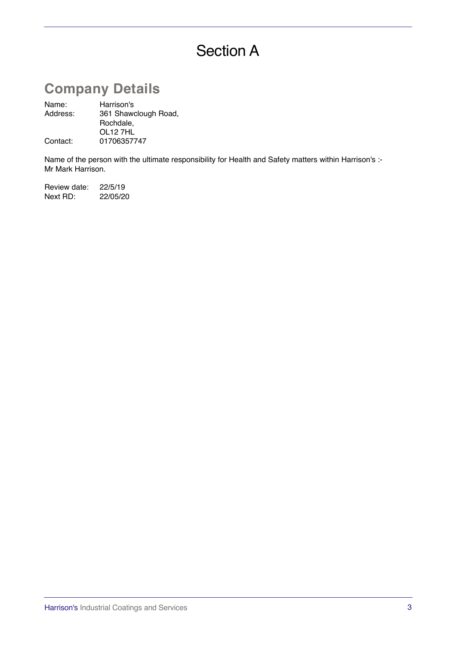# Section A

## **Company Details**

Name: Harrison's<br>Address: 361 Shawd 361 Shawclough Road, Rochdale, OL12 7HL Contact: 01706357747

Name of the person with the ultimate responsibility for Health and Safety matters within Harrison's :-Mr Mark Harrison.

Review date: 22/5/19 Next RD: 22/05/20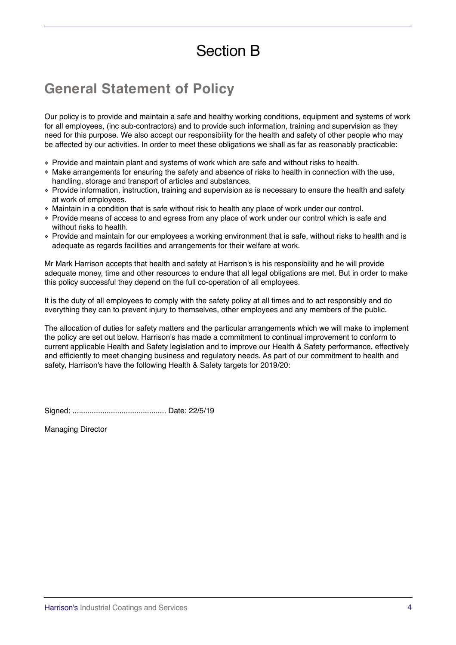# Section B

## **General Statement of Policy**

Our policy is to provide and maintain a safe and healthy working conditions, equipment and systems of work for all employees, (inc sub-contractors) and to provide such information, training and supervision as they need for this purpose. We also accept our responsibility for the health and safety of other people who may be affected by our activities. In order to meet these obligations we shall as far as reasonably practicable:

- ❖ Provide and maintain plant and systems of work which are safe and without risks to health.
- ❖ Make arrangements for ensuring the safety and absence of risks to health in connection with the use, handling, storage and transport of articles and substances.
- ❖ Provide information, instruction, training and supervision as is necessary to ensure the health and safety at work of employees.
- ❖ Maintain in a condition that is safe without risk to health any place of work under our control.
- ❖ Provide means of access to and egress from any place of work under our control which is safe and without risks to health.
- ❖ Provide and maintain for our employees a working environment that is safe, without risks to health and is adequate as regards facilities and arrangements for their welfare at work.

Mr Mark Harrison accepts that health and safety at Harrison's is his responsibility and he will provide adequate money, time and other resources to endure that all legal obligations are met. But in order to make this policy successful they depend on the full co-operation of all employees.

It is the duty of all employees to comply with the safety policy at all times and to act responsibly and do everything they can to prevent injury to themselves, other employees and any members of the public.

The allocation of duties for safety matters and the particular arrangements which we will make to implement the policy are set out below. Harrison's has made a commitment to continual improvement to conform to current applicable Health and Safety legislation and to improve our Health & Safety performance, effectively and efficiently to meet changing business and regulatory needs. As part of our commitment to health and safety, Harrison's have the following Health & Safety targets for 2019/20:

Signed: ............................................ Date: 22/5/19

Managing Director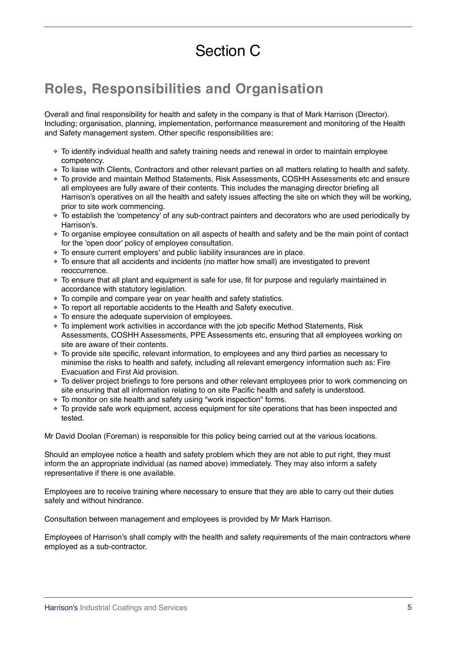# Section C

## **Roles, Responsibilities and Organisation**

Overall and final responsibility for health and safety in the company is that of Mark Harrison (Director). Including; organisation, planning, implementation, performance measurement and monitoring of the Health and Safety management system. Other specific responsibilities are:

- ❖ To identify individual health and safety training needs and renewal in order to maintain employee competency.
- ❖ To liaise with Clients, Contractors and other relevant parties on all matters relating to health and safety.
- ❖ To provide and maintain Method Statements, Risk Assessments, COSHH Assessments etc and ensure all employees are fully aware of their contents. This includes the managing director briefing all Harrison's operatives on all the health and safety issues affecting the site on which they will be working, prior to site work commencing.
- ❖ To establish the 'competency' of any sub-contract painters and decorators who are used periodically by Harrison's.
- ❖ To organise employee consultation on all aspects of health and safety and be the main point of contact for the 'open door' policy of employee consultation.
- ❖ To ensure current employers' and public liability insurances are in place.
- ❖ To ensure that all accidents and incidents (no matter how small) are investigated to prevent reoccurrence.
- ❖ To ensure that all plant and equipment is safe for use, fit for purpose and regularly maintained in accordance with statutory legislation.
- ❖ To compile and compare year on year health and safety statistics.
- ❖ To report all reportable accidents to the Health and Safety executive.
- ❖ To ensure the adequate supervision of employees.
- ❖ To implement work activities in accordance with the job specific Method Statements, Risk Assessments, COSHH Assessments, PPE Assessments etc, ensuring that all employees working on site are aware of their contents.
- ❖ To provide site specific, relevant information, to employees and any third parties as necessary to minimise the risks to health and safety, including all relevant emergency information such as: Fire Evacuation and First Aid provision.
- ❖ To deliver project briefings to fore persons and other relevant employees prior to work commencing on site ensuring that all information relating to on site Pacific health and safety is understood.
- ❖ To monitor on site health and safety using "work inspection" forms.
- ❖ To provide safe work equipment, access equipment for site operations that has been inspected and tested.

Mr David Doolan (Foreman) is responsible for this policy being carried out at the various locations.

Should an employee notice a health and safety problem which they are not able to put right, they must inform the an appropriate individual (as named above) immediately. They may also inform a safety representative if there is one available.

Employees are to receive training where necessary to ensure that they are able to carry out their duties safely and without hindrance.

Consultation between management and employees is provided by Mr Mark Harrison.

Employees of Harrison's shall comply with the health and safety requirements of the main contractors where employed as a sub-contractor.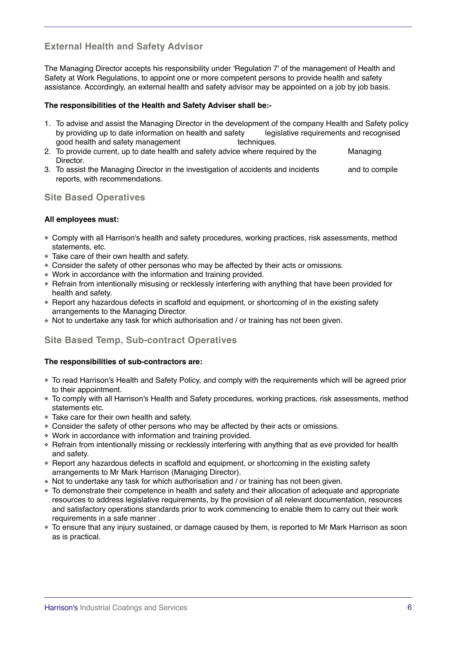## **External Health and Safety Advisor**

The Managing Director accepts his responsibility under 'Regulation 7' of the management of Health and Safety at Work Regulations, to appoint one or more competent persons to provide health and safety assistance. Accordingly, an external health and safety advisor may be appointed on a job by job basis.

#### **The responsibilities of the Health and Safety Adviser shall be:-**

- 1. To advise and assist the Managing Director in the development of the company Health and Safety policy by providing up to date information on health and safety legislative requirements and recognised good health and safety management techniques.
- 2. To provide current, up to date health and safety advice where required by the Managing Director.
- 3. To assist the Managing Director in the investigation of accidents and incidents and to compile reports, with recommendations.

## **Site Based Operatives**

#### **All employees must:**

- ❖ Comply with all Harrison's health and safety procedures, working practices, risk assessments, method statements, etc.
- ❖ Take care of their own health and safety.
- ❖ Consider the safety of other personas who may be affected by their acts or omissions.
- ❖ Work in accordance with the information and training provided.
- ❖ Refrain from intentionally misusing or recklessly interfering with anything that have been provided for health and safety.
- ❖ Report any hazardous defects in scaffold and equipment, or shortcoming of in the existing safety arrangements to the Managing Director.
- ❖ Not to undertake any task for which authorisation and / or training has not been given.

## **Site Based Temp, Sub-contract Operatives**

#### **The responsibilities of sub-contractors are:**

- ❖ To read Harrison's Health and Safety Policy, and comply with the requirements which will be agreed prior to their appointment.
- ❖ To comply with all Harrison's Health and Safety procedures, working practices, risk assessments, method statements etc.
- ❖ Take care for their own health and safety.
- ❖ Consider the safety of other persons who may be affected by their acts or omissions.
- ❖ Work in accordance with information and training provided.
- ❖ Refrain from intentionally missing or recklessly interfering with anything that as eve provided for health and safety.
- ❖ Report any hazardous defects in scaffold and equipment, or shortcoming in the existing safety arrangements to Mr Mark Harrison (Managing Director).
- ❖ Not to undertake any task for which authorisation and / or training has not been given.
- ❖ To demonstrate their competence in health and safety and their allocation of adequate and appropriate resources to address legislative requirements, by the provision of all relevant documentation, resources and satisfactory operations standards prior to work commencing to enable them to carry out their work requirements in a safe manner .
- ❖ To ensure that any injury sustained, or damage caused by them, is reported to Mr Mark Harrison as soon as is practical.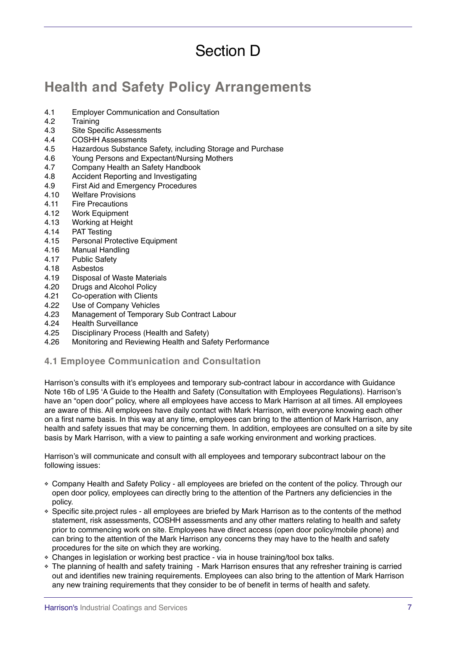# Section D

## **Health and Safety Policy Arrangements**

- 4.1 Employer Communication and Consultation<br>4.2 Training
- **Training**
- 4.3 Site Specific Assessments
- 4.4 COSHH Assessments
- 4.5 Hazardous Substance Safety, including Storage and Purchase<br>4.6 Young Persons and Expectant/Nursing Mothers
- Young Persons and Expectant/Nursing Mothers
- 4.7 Company Health an Safety Handbook
- 4.8 Accident Reporting and Investigating
- 4.9 First Aid and Emergency Procedures
- 4.10 Welfare Provisions
- 4.11 Fire Precautions
- 4.12 Work Equipment<br>4.13 Working at Heigh
- 4.13 Working at Height<br>4.14 PAT Testing
- PAT Testing
- 4.15 Personal Protective Equipment
- 4.16 Manual Handling<br>4.17 Public Safety
- Public Safety
- 4.18 Asbestos
- 4.19 Disposal of Waste Materials
- 4.20 Drugs and Alcohol Policy<br>4.21 Co-operation with Clients
- Co-operation with Clients
- 4.22 Use of Company Vehicles<br>4.23 Management of Temporary
- 4.23 Management of Temporary Sub Contract Labour<br>4.24 Health Surveillance
- 4.24 Health Surveillance<br>4.25 Disciplinary Process
- Disciplinary Process (Health and Safety)
- 4.26 Monitoring and Reviewing Health and Safety Performance

#### **4.1 Employee Communication and Consultation**

Harrison's consults with it's employees and temporary sub-contract labour in accordance with Guidance Note 16b of L95 'A Guide to the Health and Safety (Consultation with Employees Regulations). Harrison's have an "open door" policy, where all employees have access to Mark Harrison at all times. All employees are aware of this. All employees have daily contact with Mark Harrison, with everyone knowing each other on a first name basis. In this way at any time, employees can bring to the attention of Mark Harrison, any health and safety issues that may be concerning them. In addition, employees are consulted on a site by site basis by Mark Harrison, with a view to painting a safe working environment and working practices.

Harrison's will communicate and consult with all employees and temporary subcontract labour on the following issues:

- ❖ Company Health and Safety Policy all employees are briefed on the content of the policy. Through our open door policy, employees can directly bring to the attention of the Partners any deficiencies in the policy.
- ❖ Specific site.project rules all employees are briefed by Mark Harrison as to the contents of the method statement, risk assessments, COSHH assessments and any other matters relating to health and safety prior to commencing work on site. Employees have direct access (open door policy/mobile phone) and can bring to the attention of the Mark Harrison any concerns they may have to the health and safety procedures for the site on which they are working.
- ❖ Changes in legislation or working best practice via in house training/tool box talks.
- ❖ The planning of health and safety training Mark Harrison ensures that any refresher training is carried out and identifies new training requirements. Employees can also bring to the attention of Mark Harrison any new training requirements that they consider to be of benefit in terms of health and safety.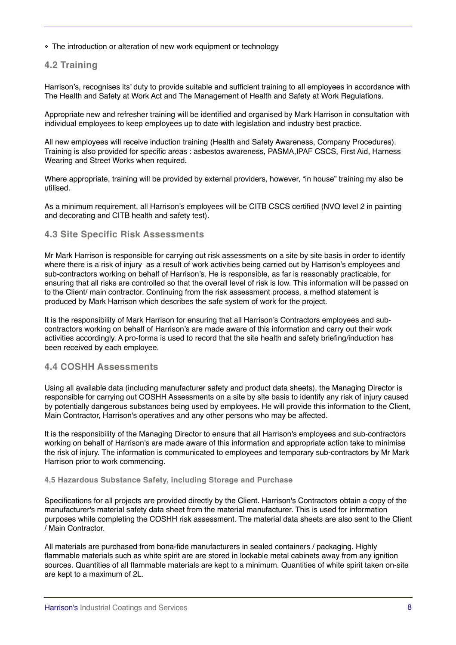❖ The introduction or alteration of new work equipment or technology

#### **4.2 Training**

Harrison's, recognises its' duty to provide suitable and sufficient training to all employees in accordance with The Health and Safety at Work Act and The Management of Health and Safety at Work Regulations.

Appropriate new and refresher training will be identified and organised by Mark Harrison in consultation with individual employees to keep employees up to date with legislation and industry best practice.

All new employees will receive induction training (Health and Safety Awareness, Company Procedures). Training is also provided for specific areas : asbestos awareness, PASMA,IPAF CSCS, First Aid, Harness Wearing and Street Works when required.

Where appropriate, training will be provided by external providers, however, "in house" training my also be utilised.

As a minimum requirement, all Harrison's employees will be CITB CSCS certified (NVQ level 2 in painting and decorating and CITB health and safety test).

#### **4.3 Site Specific Risk Assessments**

Mr Mark Harrison is responsible for carrying out risk assessments on a site by site basis in order to identify where there is a risk of injury as a result of work activities being carried out by Harrison's employees and sub-contractors working on behalf of Harrison's. He is responsible, as far is reasonably practicable, for ensuring that all risks are controlled so that the overall level of risk is low. This information will be passed on to the Client/ main contractor. Continuing from the risk assessment process, a method statement is produced by Mark Harrison which describes the safe system of work for the project.

It is the responsibility of Mark Harrison for ensuring that all Harrison's Contractors employees and subcontractors working on behalf of Harrison's are made aware of this information and carry out their work activities accordingly. A pro-forma is used to record that the site health and safety briefing/induction has been received by each employee.

#### **4.4 COSHH Assessments**

Using all available data (including manufacturer safety and product data sheets), the Managing Director is responsible for carrying out COSHH Assessments on a site by site basis to identify any risk of injury caused by potentially dangerous substances being used by employees. He will provide this information to the Client, Main Contractor, Harrison's operatives and any other persons who may be affected.

It is the responsibility of the Managing Director to ensure that all Harrison's employees and sub-contractors working on behalf of Harrison's are made aware of this information and appropriate action take to minimise the risk of injury. The information is communicated to employees and temporary sub-contractors by Mr Mark Harrison prior to work commencing.

#### **4.5 Hazardous Substance Safety, including Storage and Purchase**

Specifications for all projects are provided directly by the Client. Harrison's Contractors obtain a copy of the manufacturer's material safety data sheet from the material manufacturer. This is used for information purposes while completing the COSHH risk assessment. The material data sheets are also sent to the Client / Main Contractor.

All materials are purchased from bona-fide manufacturers in sealed containers / packaging. Highly flammable materials such as white spirit are are stored in lockable metal cabinets away from any ignition sources. Quantities of all flammable materials are kept to a minimum. Quantities of white spirit taken on-site are kept to a maximum of 2L.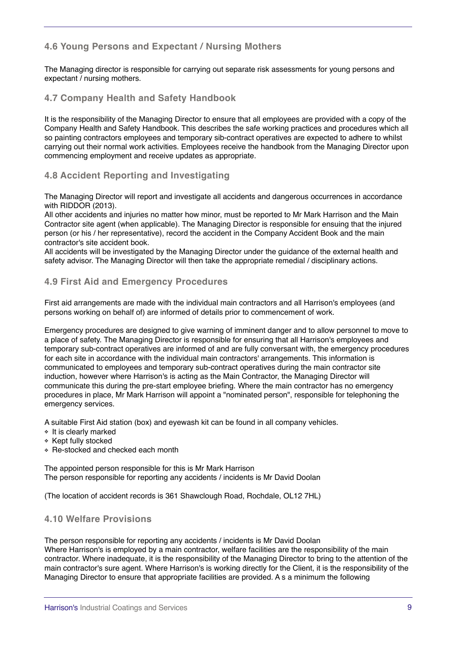## **4.6 Young Persons and Expectant / Nursing Mothers**

The Managing director is responsible for carrying out separate risk assessments for young persons and expectant / nursing mothers.

### **4.7 Company Health and Safety Handbook**

It is the responsibility of the Managing Director to ensure that all employees are provided with a copy of the Company Health and Safety Handbook. This describes the safe working practices and procedures which all so painting contractors employees and temporary sib-contract operatives are expected to adhere to whilst carrying out their normal work activities. Employees receive the handbook from the Managing Director upon commencing employment and receive updates as appropriate.

### **4.8 Accident Reporting and Investigating**

The Managing Director will report and investigate all accidents and dangerous occurrences in accordance with RIDDOR (2013).

All other accidents and injuries no matter how minor, must be reported to Mr Mark Harrison and the Main Contractor site agent (when applicable). The Managing Director is responsible for ensuing that the injured person (or his / her representative), record the accident in the Company Accident Book and the main contractor's site accident book.

All accidents will be investigated by the Managing Director under the guidance of the external health and safety advisor. The Managing Director will then take the appropriate remedial / disciplinary actions.

#### **4.9 First Aid and Emergency Procedures**

First aid arrangements are made with the individual main contractors and all Harrison's employees (and persons working on behalf of) are informed of details prior to commencement of work.

Emergency procedures are designed to give warning of imminent danger and to allow personnel to move to a place of safety. The Managing Director is responsible for ensuring that all Harrison's employees and temporary sub-contract operatives are informed of and are fully conversant with, the emergency procedures for each site in accordance with the individual main contractors' arrangements. This information is communicated to employees and temporary sub-contract operatives during the main contractor site induction, however where Harrison's is acting as the Main Contractor, the Managing Director will communicate this during the pre-start employee briefing. Where the main contractor has no emergency procedures in place, Mr Mark Harrison will appoint a "nominated person", responsible for telephoning the emergency services.

A suitable First Aid station (box) and eyewash kit can be found in all company vehicles.

- ❖ It is clearly marked
- ❖ Kept fully stocked
- ❖ Re-stocked and checked each month

The appointed person responsible for this is Mr Mark Harrison The person responsible for reporting any accidents / incidents is Mr David Doolan

(The location of accident records is 361 Shawclough Road, Rochdale, OL12 7HL)

## **4.10 Welfare Provisions**

The person responsible for reporting any accidents / incidents is Mr David Doolan Where Harrison's is employed by a main contractor, welfare facilities are the responsibility of the main contractor. Where inadequate, it is the responsibility of the Managing Director to bring to the attention of the main contractor's sure agent. Where Harrison's is working directly for the Client, it is the responsibility of the Managing Director to ensure that appropriate facilities are provided. A s a minimum the following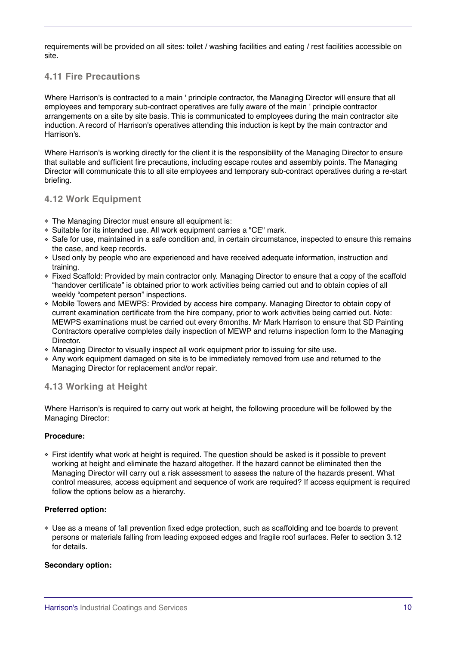requirements will be provided on all sites: toilet / washing facilities and eating / rest facilities accessible on site.

## **4.11 Fire Precautions**

Where Harrison's is contracted to a main ' principle contractor, the Managing Director will ensure that all employees and temporary sub-contract operatives are fully aware of the main ' principle contractor arrangements on a site by site basis. This is communicated to employees during the main contractor site induction. A record of Harrison's operatives attending this induction is kept by the main contractor and Harrison's.

Where Harrison's is working directly for the client it is the responsibility of the Managing Director to ensure that suitable and sufficient fire precautions, including escape routes and assembly points. The Managing Director will communicate this to all site employees and temporary sub-contract operatives during a re-start briefing.

### **4.12 Work Equipment**

- ❖ The Managing Director must ensure all equipment is:
- ❖ Suitable for its intended use. All work equipment carries a "CE" mark.
- ❖ Safe for use, maintained in a safe condition and, in certain circumstance, inspected to ensure this remains the case, and keep records.
- ❖ Used only by people who are experienced and have received adequate information, instruction and training.
- ❖ Fixed Scaffold: Provided by main contractor only. Managing Director to ensure that a copy of the scaffold "handover certificate" is obtained prior to work activities being carried out and to obtain copies of all weekly "competent person" inspections.
- ❖ Mobile Towers and MEWPS: Provided by access hire company. Managing Director to obtain copy of current examination certificate from the hire company, prior to work activities being carried out. Note: MEWPS examinations must be carried out every 6months. Mr Mark Harrison to ensure that SD Painting Contractors operative completes daily inspection of MEWP and returns inspection form to the Managing Director.
- ❖ Managing Director to visually inspect all work equipment prior to issuing for site use.
- ❖ Any work equipment damaged on site is to be immediately removed from use and returned to the Managing Director for replacement and/or repair.

#### **4.13 Working at Height**

Where Harrison's is required to carry out work at height, the following procedure will be followed by the Managing Director:

#### **Procedure:**

❖ First identify what work at height is required. The question should be asked is it possible to prevent working at height and eliminate the hazard altogether. If the hazard cannot be eliminated then the Managing Director will carry out a risk assessment to assess the nature of the hazards present. What control measures, access equipment and sequence of work are required? If access equipment is required follow the options below as a hierarchy.

#### **Preferred option:**

❖ Use as a means of fall prevention fixed edge protection, such as scaffolding and toe boards to prevent persons or materials falling from leading exposed edges and fragile roof surfaces. Refer to section 3.12 for details.

#### **Secondary option:**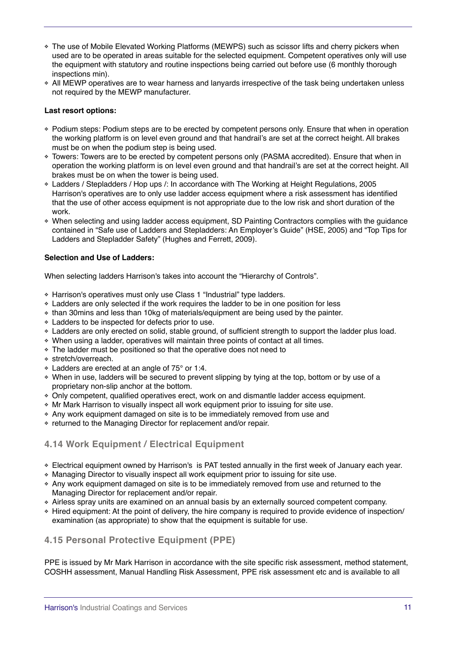- ❖ The use of Mobile Elevated Working Platforms (MEWPS) such as scissor lifts and cherry pickers when used are to be operated in areas suitable for the selected equipment. Competent operatives only will use the equipment with statutory and routine inspections being carried out before use (6 monthly thorough inspections min).
- ❖ All MEWP operatives are to wear harness and lanyards irrespective of the task being undertaken unless not required by the MEWP manufacturer.

#### **Last resort options:**

- ❖ Podium steps: Podium steps are to be erected by competent persons only. Ensure that when in operation the working platform is on level even ground and that handrail's are set at the correct height. All brakes must be on when the podium step is being used.
- ❖ Towers: Towers are to be erected by competent persons only (PASMA accredited). Ensure that when in operation the working platform is on level even ground and that handrail's are set at the correct height. All brakes must be on when the tower is being used.
- ❖ Ladders / Stepladders / Hop ups /: In accordance with The Working at Height Regulations, 2005 Harrison's operatives are to only use ladder access equipment where a risk assessment has identified that the use of other access equipment is not appropriate due to the low risk and short duration of the work.
- ❖ When selecting and using ladder access equipment, SD Painting Contractors complies with the guidance contained in "Safe use of Ladders and Stepladders: An Employer's Guide" (HSE, 2005) and "Top Tips for Ladders and Stepladder Safety" (Hughes and Ferrett, 2009).

### **Selection and Use of Ladders:**

When selecting ladders Harrison's takes into account the "Hierarchy of Controls".

- ❖ Harrison's operatives must only use Class 1 "Industrial" type ladders.
- ❖ Ladders are only selected if the work requires the ladder to be in one position for less
- ❖ than 30mins and less than 10kg of materials/equipment are being used by the painter.
- ❖ Ladders to be inspected for defects prior to use.
- ❖ Ladders are only erected on solid, stable ground, of sufficient strength to support the ladder plus load.
- ❖ When using a ladder, operatives will maintain three points of contact at all times.
- ❖ The ladder must be positioned so that the operative does not need to
- ❖ stretch/overreach.
- ❖ Ladders are erected at an angle of 75° or 1:4.
- ❖ When in use, ladders will be secured to prevent slipping by tying at the top, bottom or by use of a proprietary non-slip anchor at the bottom.
- ❖ Only competent, qualified operatives erect, work on and dismantle ladder access equipment.
- ❖ Mr Mark Harrison to visually inspect all work equipment prior to issuing for site use.
- ❖ Any work equipment damaged on site is to be immediately removed from use and
- ❖ returned to the Managing Director for replacement and/or repair.

## **4.14 Work Equipment / Electrical Equipment**

- ❖ Electrical equipment owned by Harrison's is PAT tested annually in the first week of January each year.
- ❖ Managing Director to visually inspect all work equipment prior to issuing for site use.
- ❖ Any work equipment damaged on site is to be immediately removed from use and returned to the Managing Director for replacement and/or repair.
- ❖ Airless spray units are examined on an annual basis by an externally sourced competent company.
- ❖ Hired equipment: At the point of delivery, the hire company is required to provide evidence of inspection/ examination (as appropriate) to show that the equipment is suitable for use.

## **4.15 Personal Protective Equipment (PPE)**

PPE is issued by Mr Mark Harrison in accordance with the site specific risk assessment, method statement, COSHH assessment, Manual Handling Risk Assessment, PPE risk assessment etc and is available to all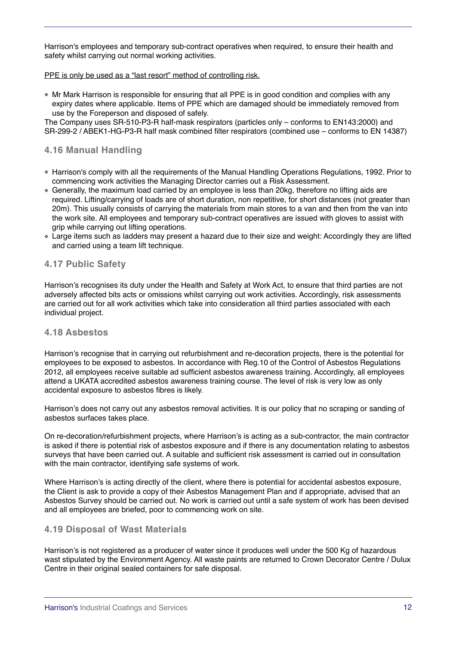Harrison's employees and temporary sub-contract operatives when required, to ensure their health and safety whilst carrying out normal working activities.

#### PPE is only be used as a "last resort" method of controlling risk.

❖ Mr Mark Harrison is responsible for ensuring that all PPE is in good condition and complies with any expiry dates where applicable. Items of PPE which are damaged should be immediately removed from use by the Foreperson and disposed of safely.

The Company uses SR-510-P3-R half-mask respirators (particles only – conforms to EN143:2000) and SR-299-2 / ABEK1-HG-P3-R half mask combined filter respirators (combined use – conforms to EN 14387)

## **4.16 Manual Handling**

- ❖ Harrison's comply with all the requirements of the Manual Handling Operations Regulations, 1992. Prior to commencing work activities the Managing Director carries out a Risk Assessment.
- ❖ Generally, the maximum load carried by an employee is less than 20kg, therefore no lifting aids are required. Lifting/carrying of loads are of short duration, non repetitive, for short distances (not greater than 20m). This usually consists of carrying the materials from main stores to a van and then from the van into the work site. All employees and temporary sub-contract operatives are issued with gloves to assist with grip while carrying out lifting operations.
- ❖ Large items such as ladders may present a hazard due to their size and weight: Accordingly they are lifted and carried using a team lift technique.

## **4.17 Public Safety**

Harrison's recognises its duty under the Health and Safety at Work Act, to ensure that third parties are not adversely affected bits acts or omissions whilst carrying out work activities. Accordingly, risk assessments are carried out for all work activities which take into consideration all third parties associated with each individual project.

#### **4.18 Asbestos**

Harrison's recognise that in carrying out refurbishment and re-decoration projects, there is the potential for employees to be exposed to asbestos. In accordance with Reg.10 of the Control of Asbestos Regulations 2012, all employees receive suitable ad sufficient asbestos awareness training. Accordingly, all employees attend a UKATA accredited asbestos awareness training course. The level of risk is very low as only accidental exposure to asbestos fibres is likely.

Harrison's does not carry out any asbestos removal activities. It is our policy that no scraping or sanding of asbestos surfaces takes place.

On re-decoration/refurbishment projects, where Harrison's is acting as a sub-contractor, the main contractor is asked if there is potential risk of asbestos exposure and if there is any documentation relating to asbestos surveys that have been carried out. A suitable and sufficient risk assessment is carried out in consultation with the main contractor, identifying safe systems of work.

Where Harrison's is acting directly of the client, where there is potential for accidental asbestos exposure, the Client is ask to provide a copy of their Asbestos Management Plan and if appropriate, advised that an Asbestos Survey should be carried out. No work is carried out until a safe system of work has been devised and all employees are briefed, poor to commencing work on site.

#### **4.19 Disposal of Wast Materials**

Harrison's is not registered as a producer of water since it produces well under the 500 Kg of hazardous wast stipulated by the Environment Agency. All waste paints are returned to Crown Decorator Centre / Dulux Centre in their original sealed containers for safe disposal.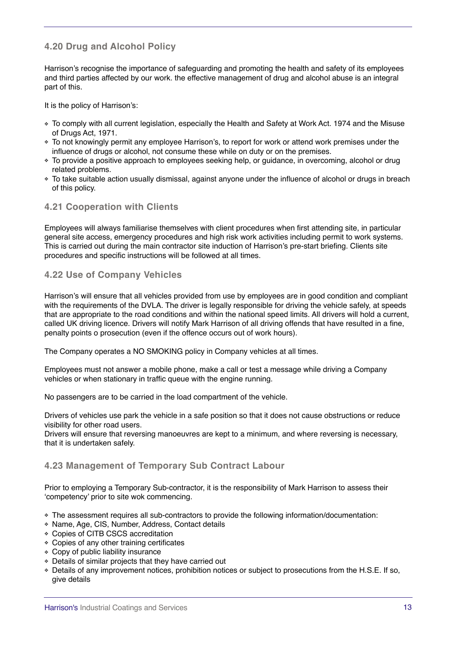## **4.20 Drug and Alcohol Policy**

Harrison's recognise the importance of safeguarding and promoting the health and safety of its employees and third parties affected by our work. the effective management of drug and alcohol abuse is an integral part of this.

It is the policy of Harrison's:

- ❖ To comply with all current legislation, especially the Health and Safety at Work Act. 1974 and the Misuse of Drugs Act, 1971.
- ❖ To not knowingly permit any employee Harrison's, to report for work or attend work premises under the influence of drugs or alcohol, not consume these while on duty or on the premises.
- ❖ To provide a positive approach to employees seeking help, or guidance, in overcoming, alcohol or drug related problems.
- ❖ To take suitable action usually dismissal, against anyone under the influence of alcohol or drugs in breach of this policy.

#### **4.21 Cooperation with Clients**

Employees will always familiarise themselves with client procedures when first attending site, in particular general site access, emergency procedures and high risk work activities including permit to work systems. This is carried out during the main contractor site induction of Harrison's pre-start briefing. Clients site procedures and specific instructions will be followed at all times.

## **4.22 Use of Company Vehicles**

Harrison's will ensure that all vehicles provided from use by employees are in good condition and compliant with the requirements of the DVLA. The driver is legally responsible for driving the vehicle safely, at speeds that are appropriate to the road conditions and within the national speed limits. All drivers will hold a current, called UK driving licence. Drivers will notify Mark Harrison of all driving offends that have resulted in a fine, penalty points o prosecution (even if the offence occurs out of work hours).

The Company operates a NO SMOKING policy in Company vehicles at all times.

Employees must not answer a mobile phone, make a call or test a message while driving a Company vehicles or when stationary in traffic queue with the engine running.

No passengers are to be carried in the load compartment of the vehicle.

Drivers of vehicles use park the vehicle in a safe position so that it does not cause obstructions or reduce visibility for other road users.

Drivers will ensure that reversing manoeuvres are kept to a minimum, and where reversing is necessary, that it is undertaken safely.

## **4.23 Management of Temporary Sub Contract Labour**

Prior to employing a Temporary Sub-contractor, it is the responsibility of Mark Harrison to assess their 'competency' prior to site wok commencing.

- ❖ The assessment requires all sub-contractors to provide the following information/documentation:
- ❖ Name, Age, CIS, Number, Address, Contact details
- ❖ Copies of CITB CSCS accreditation
- ❖ Copies of any other training certificates
- ❖ Copy of public liability insurance
- ❖ Details of similar projects that they have carried out
- ❖ Details of any improvement notices, prohibition notices or subject to prosecutions from the H.S.E. If so, give details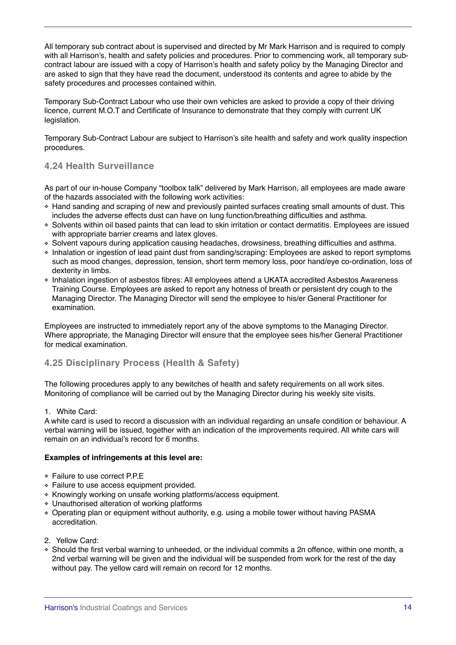All temporary sub contract about is supervised and directed by Mr Mark Harrison and is required to comply with all Harrison's, health and safety policies and procedures. Prior to commencing work, all temporary subcontract labour are issued with a copy of Harrison's health and safety policy by the Managing Director and are asked to sign that they have read the document, understood its contents and agree to abide by the safety procedures and processes contained within.

Temporary Sub-Contract Labour who use their own vehicles are asked to provide a copy of their driving licence, current M.O.T and Certificate of Insurance to demonstrate that they comply with current UK legislation.

Temporary Sub-Contract Labour are subject to Harrison's site health and safety and work quality inspection procedures.

## **4.24 Health Surveillance**

As part of our in-house Company "toolbox talk" delivered by Mark Harrison, all employees are made aware of the hazards associated with the following work activities:

- ❖ Hand sanding and scraping of new and previously painted surfaces creating small amounts of dust. This includes the adverse effects dust can have on lung function/breathing difficulties and asthma.
- ❖ Solvents within oil based paints that can lead to skin irritation or contact dermatitis. Employees are issued with appropriate barrier creams and latex gloves.
- ❖ Solvent vapours during application causing headaches, drowsiness, breathing difficulties and asthma.
- ❖ Inhalation or ingestion of lead paint dust from sanding/scraping: Employees are asked to report symptoms such as mood changes, depression, tension, short term memory loss, poor hand/eye co-ordination, loss of dexterity in limbs.
- ❖ Inhalation ingestion of asbestos fibres: All employees attend a UKATA accredited Asbestos Awareness Training Course. Employees are asked to report any hotness of breath or persistent dry cough to the Managing Director. The Managing Director will send the employee to his/er General Practitioner for examination.

Employees are instructed to immediately report any of the above symptoms to the Managing Director. Where appropriate, the Managing Director will ensure that the employee sees his/her General Practitioner for medical examination.

#### **4.25 Disciplinary Process (Health & Safety)**

The following procedures apply to any bewitches of health and safety requirements on all work sites. Monitoring of compliance will be carried out by the Managing Director during his weekly site visits.

#### 1. White Card:

A white card is used to record a discussion with an individual regarding an unsafe condition or behaviour. A verbal warning will be issued, together with an indication of the improvements required. All white cars will remain on an individual's record for 6 months.

#### **Examples of infringements at this level are:**

- ❖ Failure to use correct P.P.E
- ❖ Failure to use access equipment provided.
- ❖ Knowingly working on unsafe working platforms/access equipment.
- ❖ Unauthorised alteration of working platforms
- ❖ Operating plan or equipment without authority, e.g. using a mobile tower without having PASMA accreditation.
- 2. Yellow Card:
- ❖ Should the first verbal warning to unheeded, or the individual commits a 2n offence, within one month, a 2nd verbal warning will be given and the individual will be suspended from work for the rest of the day without pay. The yellow card will remain on record for 12 months.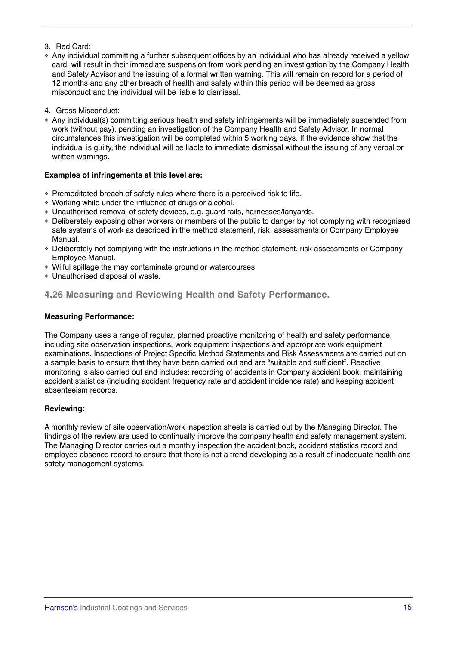#### 3. Red Card:

- ❖ Any individual committing a further subsequent offices by an individual who has already received a yellow card, will result in their immediate suspension from work pending an investigation by the Company Health and Safety Advisor and the issuing of a formal written warning. This will remain on record for a period of 12 months and any other breach of health and safety within this period will be deemed as gross misconduct and the individual will be liable to dismissal.
- 4. Gross Misconduct:
- ❖ Any individual(s) committing serious health and safety infringements will be immediately suspended from work (without pay), pending an investigation of the Company Health and Safety Advisor. In normal circumstances this investigation will be completed within 5 working days. If the evidence show that the individual is guilty, the individual will be liable to immediate dismissal without the issuing of any verbal or written warnings.

#### **Examples of infringements at this level are:**

- ❖ Premeditated breach of safety rules where there is a perceived risk to life.
- ❖ Working while under the influence of drugs or alcohol.
- ❖ Unauthorised removal of safety devices, e.g. guard rails, harnesses/lanyards.
- ❖ Deliberately exposing other workers or members of the public to danger by not complying with recognised safe systems of work as described in the method statement, risk assessments or Company Employee Manual.
- ❖ Deliberately not complying with the instructions in the method statement, risk assessments or Company Employee Manual.
- ❖ Wilful spillage the may contaminate ground or watercourses
- ❖ Unauthorised disposal of waste.

## **4.26 Measuring and Reviewing Health and Safety Performance.**

#### **Measuring Performance:**

The Company uses a range of regular, planned proactive monitoring of health and safety performance, including site observation inspections, work equipment inspections and appropriate work equipment examinations. Inspections of Project Specific Method Statements and Risk Assessments are carried out on a sample basis to ensure that they have been carried out and are "suitable and sufficient". Reactive monitoring is also carried out and includes: recording of accidents in Company accident book, maintaining accident statistics (including accident frequency rate and accident incidence rate) and keeping accident absenteeism records.

#### **Reviewing:**

A monthly review of site observation/work inspection sheets is carried out by the Managing Director. The findings of the review are used to continually improve the company health and safety management system. The Managing Director carries out a monthly inspection the accident book, accident statistics record and employee absence record to ensure that there is not a trend developing as a result of inadequate health and safety management systems.